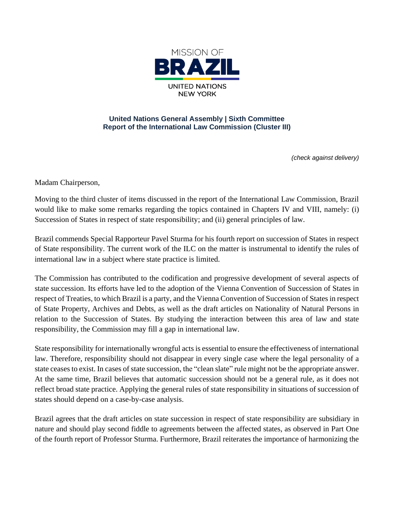

## **United Nations General Assembly | Sixth Committee Report of the International Law Commission (Cluster III)**

*(check against delivery)*

Madam Chairperson,

Moving to the third cluster of items discussed in the report of the International Law Commission, Brazil would like to make some remarks regarding the topics contained in Chapters IV and VIII, namely: (i) Succession of States in respect of state responsibility; and (ii) general principles of law.

Brazil commends Special Rapporteur Pavel Sturma for his fourth report on succession of States in respect of State responsibility. The current work of the ILC on the matter is instrumental to identify the rules of international law in a subject where state practice is limited.

The Commission has contributed to the codification and progressive development of several aspects of state succession. Its efforts have led to the adoption of the Vienna Convention of Succession of States in respect of Treaties, to which Brazil is a party, and the Vienna Convention of Succession of States in respect of State Property, Archives and Debts, as well as the draft articles on Nationality of Natural Persons in relation to the Succession of States. By studying the interaction between this area of law and state responsibility, the Commission may fill a gap in international law.

State responsibility for internationally wrongful acts is essential to ensure the effectiveness of international law. Therefore, responsibility should not disappear in every single case where the legal personality of a state ceases to exist. In cases of state succession, the "clean slate" rule might not be the appropriate answer. At the same time, Brazil believes that automatic succession should not be a general rule, as it does not reflect broad state practice. Applying the general rules of state responsibility in situations of succession of states should depend on a case-by-case analysis.

Brazil agrees that the draft articles on state succession in respect of state responsibility are subsidiary in nature and should play second fiddle to agreements between the affected states, as observed in Part One of the fourth report of Professor Sturma. Furthermore, Brazil reiterates the importance of harmonizing the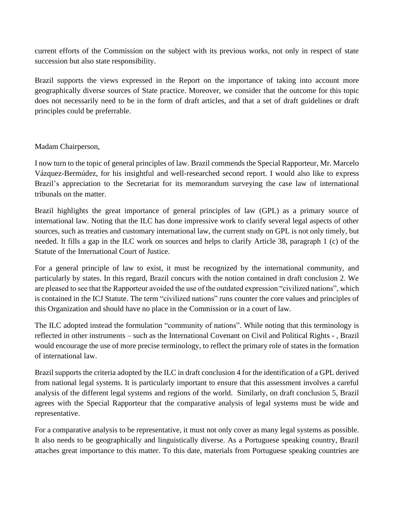current efforts of the Commission on the subject with its previous works, not only in respect of state succession but also state responsibility.

Brazil supports the views expressed in the Report on the importance of taking into account more geographically diverse sources of State practice. Moreover, we consider that the outcome for this topic does not necessarily need to be in the form of draft articles, and that a set of draft guidelines or draft principles could be preferrable.

## Madam Chairperson,

I now turn to the topic of general principles of law. Brazil commends the Special Rapporteur, Mr. Marcelo Vázquez-Bermúdez, for his insightful and well-researched second report. I would also like to express Brazil's appreciation to the Secretariat for its memorandum surveying the case law of international tribunals on the matter.

Brazil highlights the great importance of general principles of law (GPL) as a primary source of international law. Noting that the ILC has done impressive work to clarify several legal aspects of other sources, such as treaties and customary international law, the current study on GPL is not only timely, but needed. It fills a gap in the ILC work on sources and helps to clarify Article 38, paragraph 1 (c) of the Statute of the International Court of Justice.

For a general principle of law to exist, it must be recognized by the international community, and particularly by states. In this regard, Brazil concurs with the notion contained in draft conclusion 2. We are pleased to see that the Rapporteur avoided the use of the outdated expression "civilized nations", which is contained in the ICJ Statute. The term "civilized nations" runs counter the core values and principles of this Organization and should have no place in the Commission or in a court of law.

The ILC adopted instead the formulation "community of nations". While noting that this terminology is reflected in other instruments – such as the International Covenant on Civil and Political Rights - , Brazil would encourage the use of more precise terminology, to reflect the primary role of states in the formation of international law.

Brazil supports the criteria adopted by the ILC in draft conclusion 4 for the identification of a GPL derived from national legal systems. It is particularly important to ensure that this assessment involves a careful analysis of the different legal systems and regions of the world. Similarly, on draft conclusion 5, Brazil agrees with the Special Rapporteur that the comparative analysis of legal systems must be wide and representative.

For a comparative analysis to be representative, it must not only cover as many legal systems as possible. It also needs to be geographically and linguistically diverse. As a Portuguese speaking country, Brazil attaches great importance to this matter. To this date, materials from Portuguese speaking countries are